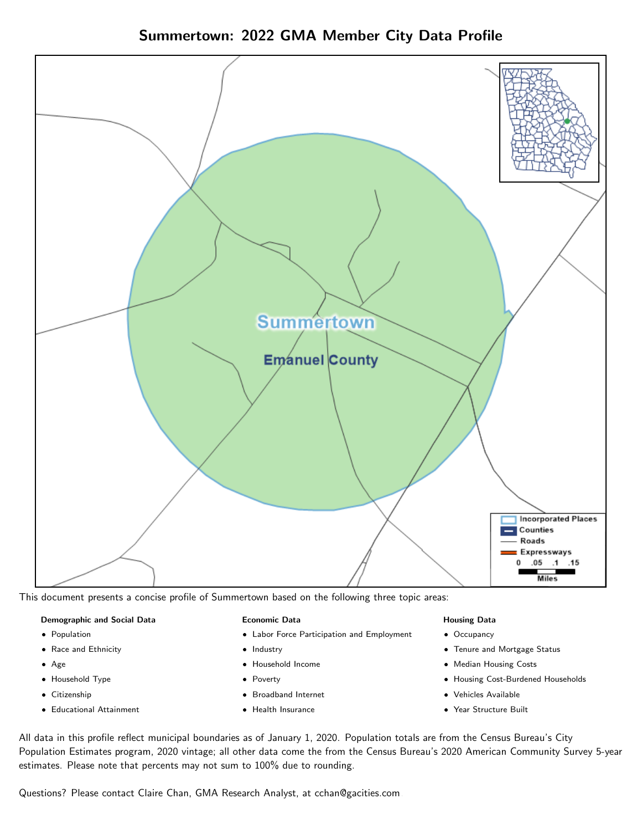## Summertown: 2022 GMA Member City Data Profile



This document presents a concise profile of Summertown based on the following three topic areas:

#### Demographic and Social Data

- **•** Population
- Race and Ethnicity
- Age
- Household Type
- **Citizenship**
- Educational Attainment

#### Economic Data

- Labor Force Participation and Employment
- Industry
- Household Income
- Poverty
- Broadband Internet
- Health Insurance

#### Housing Data

- Occupancy
- Tenure and Mortgage Status
- Median Housing Costs
- Housing Cost-Burdened Households
- Vehicles Available
- Year Structure Built

All data in this profile reflect municipal boundaries as of January 1, 2020. Population totals are from the Census Bureau's City Population Estimates program, 2020 vintage; all other data come the from the Census Bureau's 2020 American Community Survey 5-year estimates. Please note that percents may not sum to 100% due to rounding.

Questions? Please contact Claire Chan, GMA Research Analyst, at [cchan@gacities.com.](mailto:cchan@gacities.com)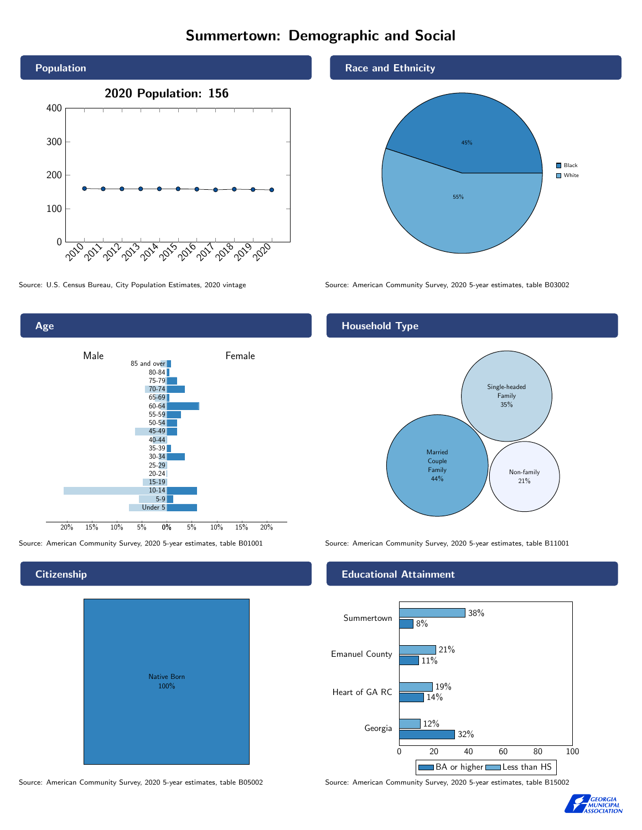# Summertown: Demographic and Social





# Native Born 100%

#### Race and Ethnicity



Source: U.S. Census Bureau, City Population Estimates, 2020 vintage Source: American Community Survey, 2020 5-year estimates, table B03002

### Household Type



Source: American Community Survey, 2020 5-year estimates, table B01001 Source: American Community Survey, 2020 5-year estimates, table B11001

#### Educational Attainment



Source: American Community Survey, 2020 5-year estimates, table B05002 Source: American Community Survey, 2020 5-year estimates, table B15002



#### **Citizenship**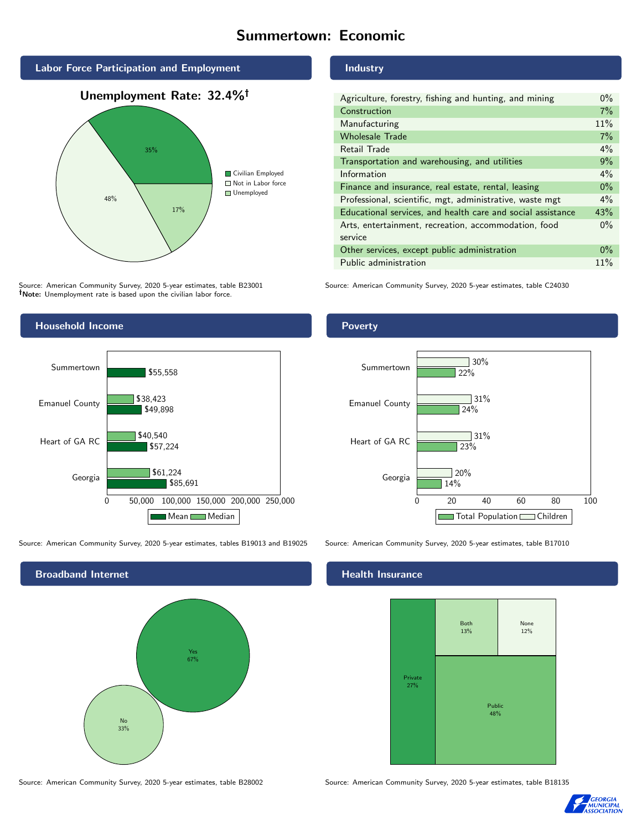# Summertown: Economic







Source: American Community Survey, 2020 5-year estimates, table B23001 Note: Unemployment rate is based upon the civilian labor force.



| Agriculture, forestry, fishing and hunting, and mining      | $0\%$ |
|-------------------------------------------------------------|-------|
| Construction                                                | 7%    |
| Manufacturing                                               | 11%   |
| <b>Wholesale Trade</b>                                      | 7%    |
| Retail Trade                                                | $4\%$ |
| Transportation and warehousing, and utilities               | 9%    |
| Information                                                 | $4\%$ |
| Finance and insurance, real estate, rental, leasing         | $0\%$ |
| Professional, scientific, mgt, administrative, waste mgt    | $4\%$ |
| Educational services, and health care and social assistance | 43%   |
| Arts, entertainment, recreation, accommodation, food        | $0\%$ |
| service                                                     |       |
| Other services, except public administration                | $0\%$ |
| Public administration                                       | 11%   |

Source: American Community Survey, 2020 5-year estimates, table C24030



Source: American Community Survey, 2020 5-year estimates, tables B19013 and B19025 Source: American Community Survey, 2020 5-year estimates, table B17010



## **Health Insurance**



Source: American Community Survey, 2020 5-year estimates, table B28002 Source: American Community Survey, 2020 5-year estimates, table B18135



Poverty